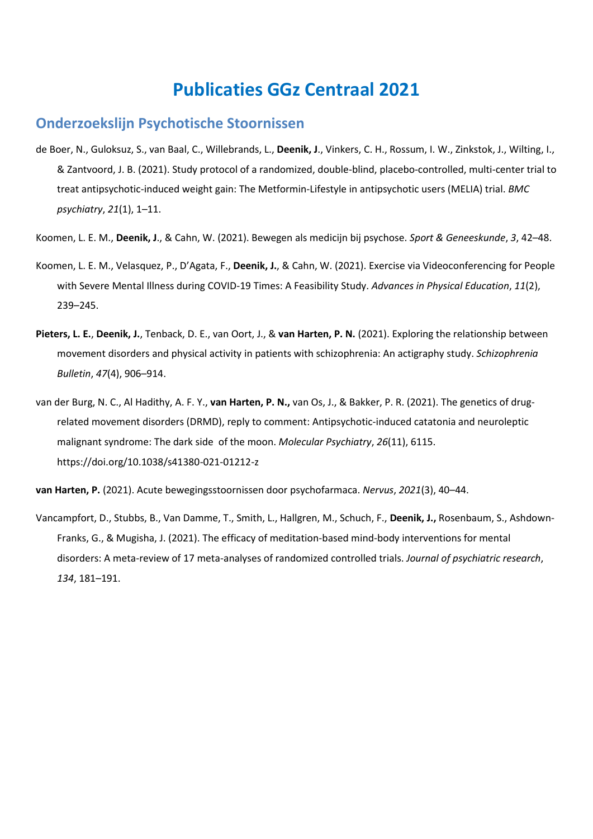# **Publicaties GGz Centraal 2021**

#### **Onderzoekslijn Psychotische Stoornissen**

- de Boer, N., Guloksuz, S., van Baal, C., Willebrands, L., **Deenik, J**., Vinkers, C. H., Rossum, I. W., Zinkstok, J., Wilting, I., & Zantvoord, J. B. (2021). Study protocol of a randomized, double-blind, placebo-controlled, multi-center trial to treat antipsychotic-induced weight gain: The Metformin-Lifestyle in antipsychotic users (MELIA) trial. *BMC psychiatry*, *21*(1), 1–11.
- Koomen, L. E. M., **Deenik, J**., & Cahn, W. (2021). Bewegen als medicijn bij psychose. *Sport & Geneeskunde*, *3*, 42–48.
- Koomen, L. E. M., Velasquez, P., D'Agata, F., **Deenik, J.**, & Cahn, W. (2021). Exercise via Videoconferencing for People with Severe Mental Illness during COVID-19 Times: A Feasibility Study. *Advances in Physical Education*, *11*(2), 239–245.
- **Pieters, L. E.**, **Deenik, J.**, Tenback, D. E., van Oort, J., & **van Harten, P. N.** (2021). Exploring the relationship between movement disorders and physical activity in patients with schizophrenia: An actigraphy study. *Schizophrenia Bulletin*, *47*(4), 906–914.
- van der Burg, N. C., Al Hadithy, A. F. Y., **van Harten, P. N.,** van Os, J., & Bakker, P. R. (2021). The genetics of drugrelated movement disorders (DRMD), reply to comment: Antipsychotic-induced catatonia and neuroleptic malignant syndrome: The dark side of the moon. *Molecular Psychiatry*, *26*(11), 6115. https://doi.org/10.1038/s41380-021-01212-z
- **van Harten, P.** (2021). Acute bewegingsstoornissen door psychofarmaca. *Nervus*, *2021*(3), 40–44.
- Vancampfort, D., Stubbs, B., Van Damme, T., Smith, L., Hallgren, M., Schuch, F., **Deenik, J.,** Rosenbaum, S., Ashdown-Franks, G., & Mugisha, J. (2021). The efficacy of meditation-based mind-body interventions for mental disorders: A meta-review of 17 meta-analyses of randomized controlled trials. *Journal of psychiatric research*, *134*, 181–191.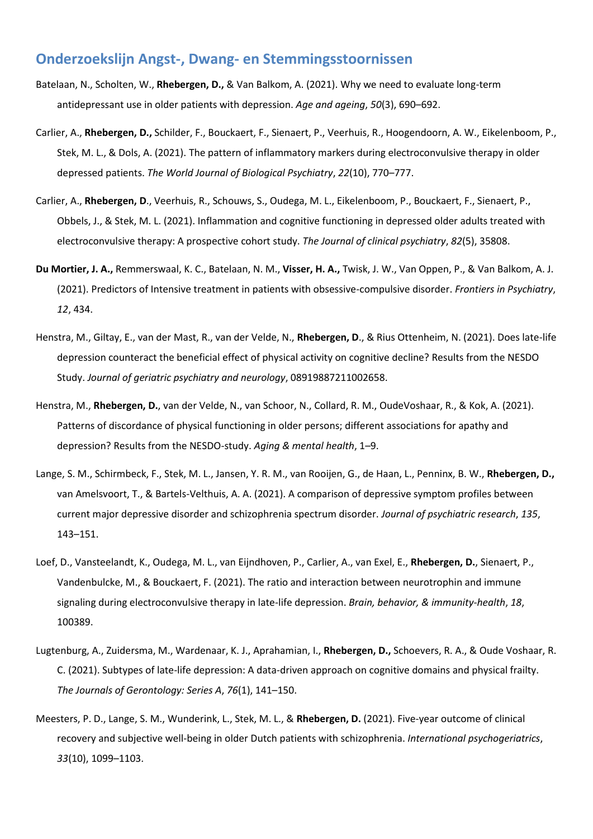#### **Onderzoekslijn Angst-, Dwang- en Stemmingsstoornissen**

- Batelaan, N., Scholten, W., **Rhebergen, D.,** & Van Balkom, A. (2021). Why we need to evaluate long-term antidepressant use in older patients with depression. *Age and ageing*, *50*(3), 690–692.
- Carlier, A., **Rhebergen, D.,** Schilder, F., Bouckaert, F., Sienaert, P., Veerhuis, R., Hoogendoorn, A. W., Eikelenboom, P., Stek, M. L., & Dols, A. (2021). The pattern of inflammatory markers during electroconvulsive therapy in older depressed patients. *The World Journal of Biological Psychiatry*, *22*(10), 770–777.
- Carlier, A., **Rhebergen, D**., Veerhuis, R., Schouws, S., Oudega, M. L., Eikelenboom, P., Bouckaert, F., Sienaert, P., Obbels, J., & Stek, M. L. (2021). Inflammation and cognitive functioning in depressed older adults treated with electroconvulsive therapy: A prospective cohort study. *The Journal of clinical psychiatry*, *82*(5), 35808.
- **Du Mortier, J. A.,** Remmerswaal, K. C., Batelaan, N. M., **Visser, H. A.,** Twisk, J. W., Van Oppen, P., & Van Balkom, A. J. (2021). Predictors of Intensive treatment in patients with obsessive-compulsive disorder. *Frontiers in Psychiatry*, *12*, 434.
- Henstra, M., Giltay, E., van der Mast, R., van der Velde, N., **Rhebergen, D**., & Rius Ottenheim, N. (2021). Does late-life depression counteract the beneficial effect of physical activity on cognitive decline? Results from the NESDO Study. *Journal of geriatric psychiatry and neurology*, 08919887211002658.
- Henstra, M., **Rhebergen, D.**, van der Velde, N., van Schoor, N., Collard, R. M., OudeVoshaar, R., & Kok, A. (2021). Patterns of discordance of physical functioning in older persons; different associations for apathy and depression? Results from the NESDO-study. *Aging & mental health*, 1–9.
- Lange, S. M., Schirmbeck, F., Stek, M. L., Jansen, Y. R. M., van Rooijen, G., de Haan, L., Penninx, B. W., **Rhebergen, D.,** van Amelsvoort, T., & Bartels-Velthuis, A. A. (2021). A comparison of depressive symptom profiles between current major depressive disorder and schizophrenia spectrum disorder. *Journal of psychiatric research*, *135*, 143–151.
- Loef, D., Vansteelandt, K., Oudega, M. L., van Eijndhoven, P., Carlier, A., van Exel, E., **Rhebergen, D.**, Sienaert, P., Vandenbulcke, M., & Bouckaert, F. (2021). The ratio and interaction between neurotrophin and immune signaling during electroconvulsive therapy in late-life depression. *Brain, behavior, & immunity-health*, *18*, 100389.
- Lugtenburg, A., Zuidersma, M., Wardenaar, K. J., Aprahamian, I., **Rhebergen, D.,** Schoevers, R. A., & Oude Voshaar, R. C. (2021). Subtypes of late-life depression: A data-driven approach on cognitive domains and physical frailty. *The Journals of Gerontology: Series A*, *76*(1), 141–150.
- Meesters, P. D., Lange, S. M., Wunderink, L., Stek, M. L., & **Rhebergen, D.** (2021). Five-year outcome of clinical recovery and subjective well-being in older Dutch patients with schizophrenia. *International psychogeriatrics*, *33*(10), 1099–1103.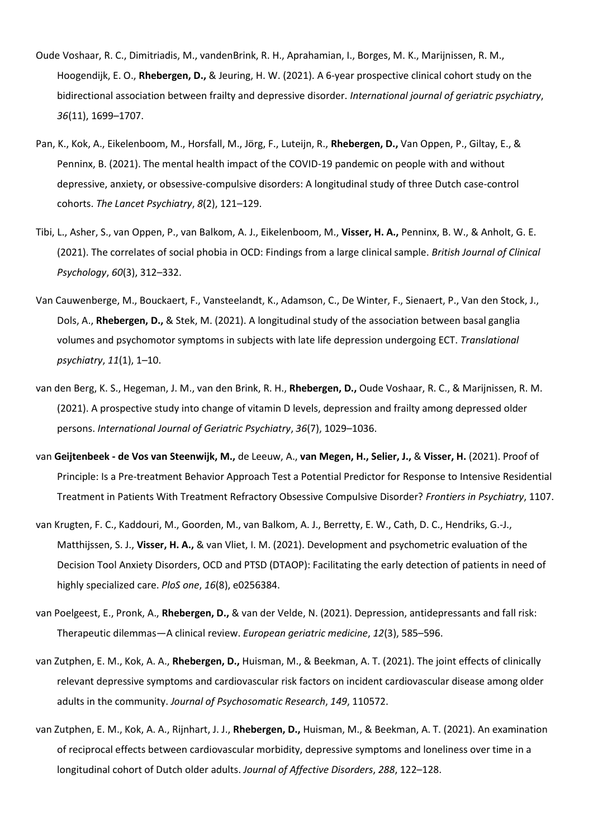- Oude Voshaar, R. C., Dimitriadis, M., vandenBrink, R. H., Aprahamian, I., Borges, M. K., Marijnissen, R. M., Hoogendijk, E. O., **Rhebergen, D.,** & Jeuring, H. W. (2021). A 6‐year prospective clinical cohort study on the bidirectional association between frailty and depressive disorder. *International journal of geriatric psychiatry*, *36*(11), 1699–1707.
- Pan, K., Kok, A., Eikelenboom, M., Horsfall, M., Jörg, F., Luteijn, R., **Rhebergen, D.,** Van Oppen, P., Giltay, E., & Penninx, B. (2021). The mental health impact of the COVID-19 pandemic on people with and without depressive, anxiety, or obsessive-compulsive disorders: A longitudinal study of three Dutch case-control cohorts. *The Lancet Psychiatry*, *8*(2), 121–129.
- Tibi, L., Asher, S., van Oppen, P., van Balkom, A. J., Eikelenboom, M., **Visser, H. A.,** Penninx, B. W., & Anholt, G. E. (2021). The correlates of social phobia in OCD: Findings from a large clinical sample. *British Journal of Clinical Psychology*, *60*(3), 312–332.
- Van Cauwenberge, M., Bouckaert, F., Vansteelandt, K., Adamson, C., De Winter, F., Sienaert, P., Van den Stock, J., Dols, A., **Rhebergen, D.,** & Stek, M. (2021). A longitudinal study of the association between basal ganglia volumes and psychomotor symptoms in subjects with late life depression undergoing ECT. *Translational psychiatry*, *11*(1), 1–10.
- van den Berg, K. S., Hegeman, J. M., van den Brink, R. H., **Rhebergen, D.,** Oude Voshaar, R. C., & Marijnissen, R. M. (2021). A prospective study into change of vitamin D levels, depression and frailty among depressed older persons. *International Journal of Geriatric Psychiatry*, *36*(7), 1029–1036.
- van **Geijtenbeek - de Vos van Steenwijk, M.,** de Leeuw, A., **van Megen, H., Selier, J.,** & **Visser, H.** (2021). Proof of Principle: Is a Pre-treatment Behavior Approach Test a Potential Predictor for Response to Intensive Residential Treatment in Patients With Treatment Refractory Obsessive Compulsive Disorder? *Frontiers in Psychiatry*, 1107.
- van Krugten, F. C., Kaddouri, M., Goorden, M., van Balkom, A. J., Berretty, E. W., Cath, D. C., Hendriks, G.-J., Matthijssen, S. J., **Visser, H. A.,** & van Vliet, I. M. (2021). Development and psychometric evaluation of the Decision Tool Anxiety Disorders, OCD and PTSD (DTAOP): Facilitating the early detection of patients in need of highly specialized care. *PloS one*, *16*(8), e0256384.
- van Poelgeest, E., Pronk, A., **Rhebergen, D.,** & van der Velde, N. (2021). Depression, antidepressants and fall risk: Therapeutic dilemmas—A clinical review. *European geriatric medicine*, *12*(3), 585–596.
- van Zutphen, E. M., Kok, A. A., **Rhebergen, D.,** Huisman, M., & Beekman, A. T. (2021). The joint effects of clinically relevant depressive symptoms and cardiovascular risk factors on incident cardiovascular disease among older adults in the community. *Journal of Psychosomatic Research*, *149*, 110572.
- van Zutphen, E. M., Kok, A. A., Rijnhart, J. J., **Rhebergen, D.,** Huisman, M., & Beekman, A. T. (2021). An examination of reciprocal effects between cardiovascular morbidity, depressive symptoms and loneliness over time in a longitudinal cohort of Dutch older adults. *Journal of Affective Disorders*, *288*, 122–128.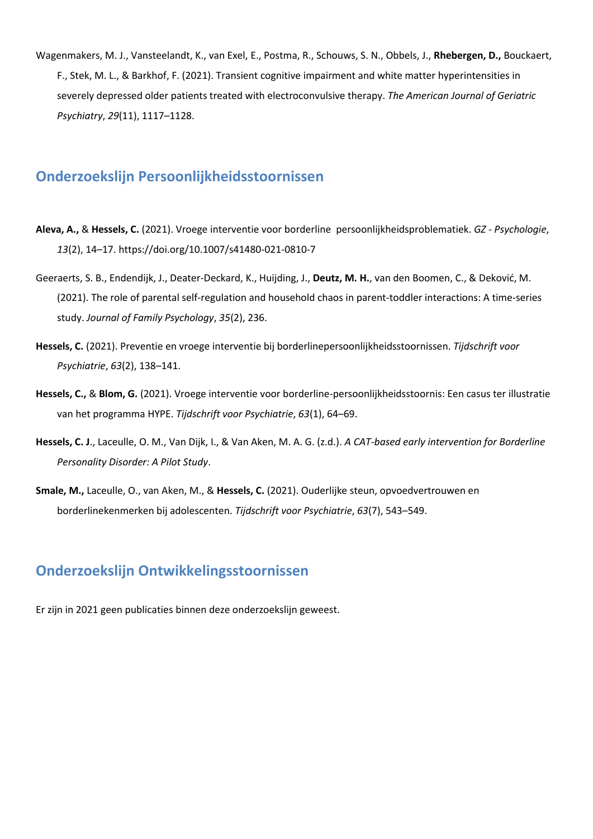Wagenmakers, M. J., Vansteelandt, K., van Exel, E., Postma, R., Schouws, S. N., Obbels, J., **Rhebergen, D.,** Bouckaert, F., Stek, M. L., & Barkhof, F. (2021). Transient cognitive impairment and white matter hyperintensities in severely depressed older patients treated with electroconvulsive therapy. *The American Journal of Geriatric Psychiatry*, *29*(11), 1117–1128.

### **Onderzoekslijn Persoonlijkheidsstoornissen**

- **Aleva, A.,** & **Hessels, C.** (2021). Vroege interventie voor borderline persoonlijkheidsproblematiek. *GZ - Psychologie*, *13*(2), 14–17. https://doi.org/10.1007/s41480-021-0810-7
- Geeraerts, S. B., Endendijk, J., Deater-Deckard, K., Huijding, J., **Deutz, M. H.**, van den Boomen, C., & Deković, M. (2021). The role of parental self-regulation and household chaos in parent-toddler interactions: A time-series study. *Journal of Family Psychology*, *35*(2), 236.
- **Hessels, C.** (2021). Preventie en vroege interventie bij borderlinepersoonlijkheidsstoornissen. *Tijdschrift voor Psychiatrie*, *63*(2), 138–141.
- **Hessels, C.,** & **Blom, G.** (2021). Vroege interventie voor borderline-persoonlijkheidsstoornis: Een casus ter illustratie van het programma HYPE. *Tijdschrift voor Psychiatrie*, *63*(1), 64–69.
- **Hessels, C. J**., Laceulle, O. M., Van Dijk, I., & Van Aken, M. A. G. (z.d.). *A CAT-based early intervention for Borderline Personality Disorder: A Pilot Study*.
- **Smale, M.,** Laceulle, O., van Aken, M., & **Hessels, C.** (2021). Ouderlijke steun, opvoedvertrouwen en borderlinekenmerken bij adolescenten. *Tijdschrift voor Psychiatrie*, *63*(7), 543–549.

# **Onderzoekslijn Ontwikkelingsstoornissen**

Er zijn in 2021 geen publicaties binnen deze onderzoekslijn geweest.